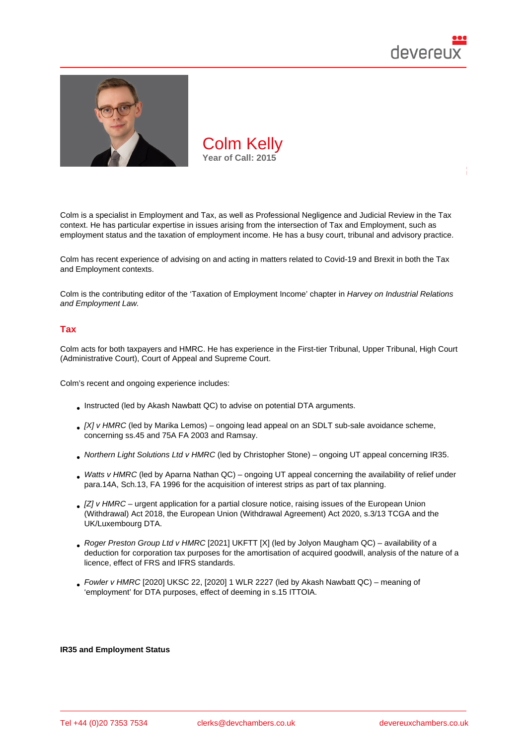

Colm is a specialist in Employment and Tax, as well as Professional Negligence and Judicial Review in the Tax context. He has particular expertise in issues arising from the intersection of Tax and Employment, such as employment status and the taxation of employment income. He has a busy court, tribunal and advisory practice.

Colm has recent experience of advising on and acting in matters related to Covid-19 and Brexit in both the Tax and Employment contexts.

Colm is the contributing editor of the 'Taxation of Employment Income' chapter in Harvey on Industrial Relations and Employment Law.

# Tax

Colm acts for both taxpayers and HMRC. He has experience in the First-tier Tribunal, Upper Tribunal, High Court (Administrative Court), Court of Appeal and Supreme Court.

Colm's recent and ongoing experience includes:

- Instructed (led by Akash Nawbatt QC) to advise on potential DTA arguments.
- [X] v HMRC (led by Marika Lemos) ongoing lead appeal on an SDLT sub-sale avoidance scheme, concerning ss.45 and 75A FA 2003 and Ramsay.
- Northern Light Solutions Ltd v HMRC (led by Christopher Stone) ongoing UT appeal concerning IR35.
- Watts v HMRC (led by Aparna Nathan QC) ongoing UT appeal concerning the availability of relief under para.14A, Sch.13, FA 1996 for the acquisition of interest strips as part of tax planning.
- [Z] v HMRC urgent application for a partial closure notice, raising issues of the European Union (Withdrawal) Act 2018, the European Union (Withdrawal Agreement) Act 2020, s.3/13 TCGA and the UK/Luxembourg DTA.
- Roger Preston Group Ltd v HMRC [2021] UKFTT [X] (led by Jolyon Maugham QC) availability of a deduction for corporation tax purposes for the amortisation of acquired goodwill, analysis of the nature of a licence, effect of FRS and IFRS standards.
- $\bullet$  Fowler v HMRC [2020] UKSC 22, [2020] 1 WLR 2227 (led by Akash Nawbatt QC) meaning of 'employment' for DTA purposes, effect of deeming in s.15 ITTOIA.

IR35 and Employment Status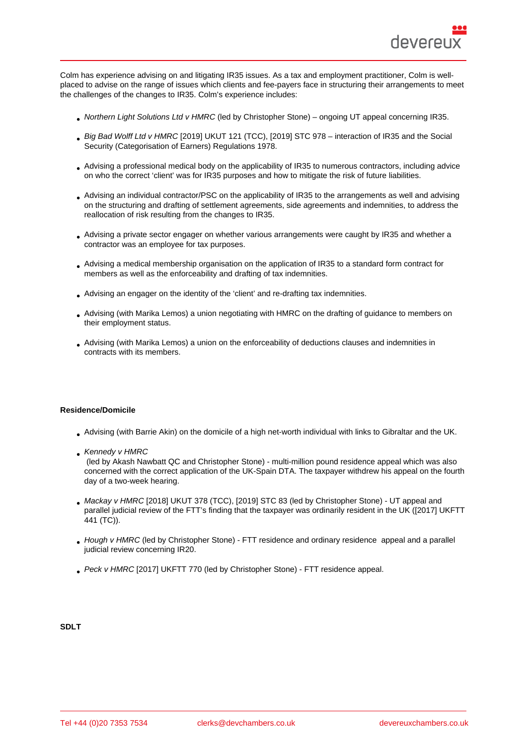Colm has experience advising on and litigating IR35 issues. As a tax and employment practitioner, Colm is wellplaced to advise on the range of issues which clients and fee-payers face in structuring their arrangements to meet the challenges of the changes to IR35. Colm's experience includes:

- Northern Light Solutions Ltd v HMRC (led by Christopher Stone) ongoing UT appeal concerning IR35.
- Big Bad Wolff Ltd v HMRC [2019] UKUT 121 (TCC), [2019] STC 978 interaction of IR35 and the Social Security (Categorisation of Earners) Regulations 1978.
- Advising a professional medical body on the applicability of IR35 to numerous contractors, including advice on who the correct 'client' was for IR35 purposes and how to mitigate the risk of future liabilities.
- Advising an individual contractor/PSC on the applicability of IR35 to the arrangements as well and advising on the structuring and drafting of settlement agreements, side agreements and indemnities, to address the reallocation of risk resulting from the changes to IR35.
- Advising a private sector engager on whether various arrangements were caught by IR35 and whether a contractor was an employee for tax purposes.
- Advising a medical membership organisation on the application of IR35 to a standard form contract for members as well as the enforceability and drafting of tax indemnities.
- Advising an engager on the identity of the 'client' and re-drafting tax indemnities.
- Advising (with Marika Lemos) a union negotiating with HMRC on the drafting of guidance to members on their employment status.
- Advising (with Marika Lemos) a union on the enforceability of deductions clauses and indemnities in contracts with its members.

### Residence/Domicile

- Advising (with Barrie Akin) on the domicile of a high net-worth individual with links to Gibraltar and the UK.
- Kennedy v HMRC

 (led by Akash Nawbatt QC and Christopher Stone) - multi-million pound residence appeal which was also concerned with the correct application of the UK-Spain DTA. The taxpayer withdrew his appeal on the fourth day of a two-week hearing.

- Mackay v HMRC [2018] UKUT 378 (TCC), [2019] STC 83 (led by Christopher Stone) UT appeal and parallel judicial review of the FTT's finding that the taxpayer was ordinarily resident in the UK ([2017] UKFTT 441 (TC)).
- Hough v HMRC (led by Christopher Stone) FTT residence and ordinary residence appeal and a parallel judicial review concerning IR20.
- Peck v HMRC [2017] UKFTT 770 (led by Christopher Stone) FTT residence appeal.

SDLT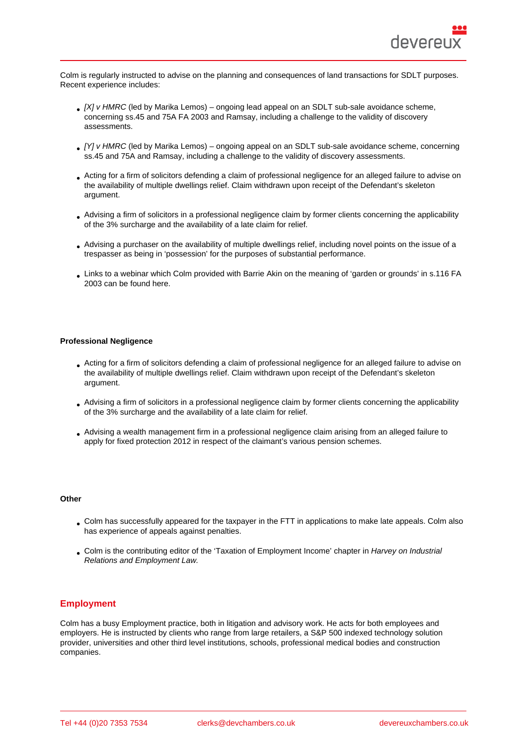Colm is regularly instructed to advise on the planning and consequences of land transactions for SDLT purposes. Recent experience includes:

- [X] v HMRC (led by Marika Lemos) ongoing lead appeal on an SDLT sub-sale avoidance scheme, concerning ss.45 and 75A FA 2003 and Ramsay, including a challenge to the validity of discovery assessments.
- [Y] v HMRC (led by Marika Lemos) ongoing appeal on an SDLT sub-sale avoidance scheme, concerning ss.45 and 75A and Ramsay, including a challenge to the validity of discovery assessments.
- Acting for a firm of solicitors defending a claim of professional negligence for an alleged failure to advise on the availability of multiple dwellings relief. Claim withdrawn upon receipt of the Defendant's skeleton argument.
- Advising a firm of solicitors in a professional negligence claim by former clients concerning the applicability of the 3% surcharge and the availability of a late claim for relief.
- Advising a purchaser on the availability of multiple dwellings relief, including novel points on the issue of a trespasser as being in 'possession' for the purposes of substantial performance.
- Links to a webinar which Colm provided with Barrie Akin on the meaning of 'garden or grounds' in s.116 FA 2003 can be found here.

### Professional Negligence

- Acting for a firm of solicitors defending a claim of professional negligence for an alleged failure to advise on the availability of multiple dwellings relief. Claim withdrawn upon receipt of the Defendant's skeleton argument.
- Advising a firm of solicitors in a professional negligence claim by former clients concerning the applicability of the 3% surcharge and the availability of a late claim for relief.
- Advising a wealth management firm in a professional negligence claim arising from an alleged failure to apply for fixed protection 2012 in respect of the claimant's various pension schemes.

**Other** 

- Colm has successfully appeared for the taxpayer in the FTT in applications to make late appeals. Colm also has experience of appeals against penalties.
- Colm is the contributing editor of the 'Taxation of Employment Income' chapter in Harvey on Industrial Relations and Employment Law.

# **Employment**

Colm has a busy Employment practice, both in litigation and advisory work. He acts for both employees and employers. He is instructed by clients who range from large retailers, a S&P 500 indexed technology solution provider, universities and other third level institutions, schools, professional medical bodies and construction companies.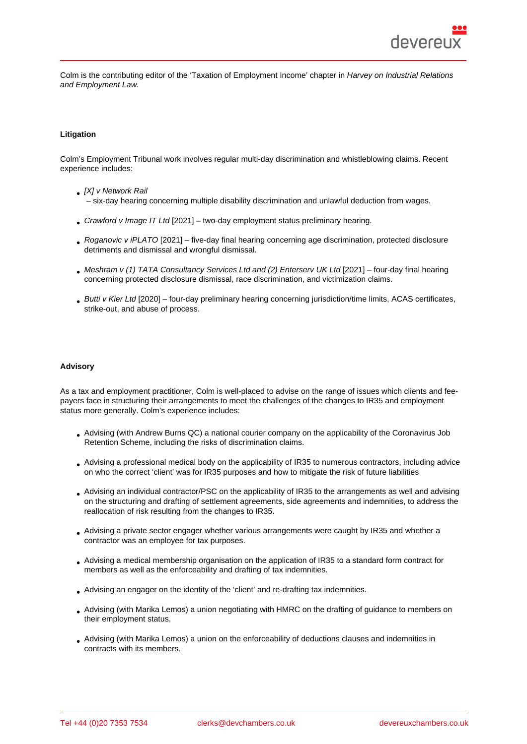Colm is the contributing editor of the 'Taxation of Employment Income' chapter in Harvey on Industrial Relations and Employment Law.

### Litigation

Colm's Employment Tribunal work involves regular multi-day discrimination and whistleblowing claims. Recent experience includes:

- [X] v Network Rail – six-day hearing concerning multiple disability discrimination and unlawful deduction from wages.
- Crawford v Image IT Ltd [2021] two-day employment status preliminary hearing.
- Roganovic v iPLATO [2021] five-day final hearing concerning age discrimination, protected disclosure detriments and dismissal and wrongful dismissal.
- Meshram v (1) TATA Consultancy Services Ltd and (2) Enterserv UK Ltd [2021] four-day final hearing concerning protected disclosure dismissal, race discrimination, and victimization claims.
- Butti v Kier Ltd [2020] four-day preliminary hearing concerning jurisdiction/time limits, ACAS certificates, strike-out, and abuse of process.

### Advisory

As a tax and employment practitioner, Colm is well-placed to advise on the range of issues which clients and feepayers face in structuring their arrangements to meet the challenges of the changes to IR35 and employment status more generally. Colm's experience includes:

- Advising (with Andrew Burns QC) a national courier company on the applicability of the Coronavirus Job Retention Scheme, including the risks of discrimination claims.
- Advising a professional medical body on the applicability of IR35 to numerous contractors, including advice on who the correct 'client' was for IR35 purposes and how to mitigate the risk of future liabilities
- Advising an individual contractor/PSC on the applicability of IR35 to the arrangements as well and advising on the structuring and drafting of settlement agreements, side agreements and indemnities, to address the reallocation of risk resulting from the changes to IR35.
- Advising a private sector engager whether various arrangements were caught by IR35 and whether a contractor was an employee for tax purposes.
- Advising a medical membership organisation on the application of IR35 to a standard form contract for members as well as the enforceability and drafting of tax indemnities.
- Advising an engager on the identity of the 'client' and re-drafting tax indemnities.
- Advising (with Marika Lemos) a union negotiating with HMRC on the drafting of guidance to members on their employment status.
- Advising (with Marika Lemos) a union on the enforceability of deductions clauses and indemnities in contracts with its members.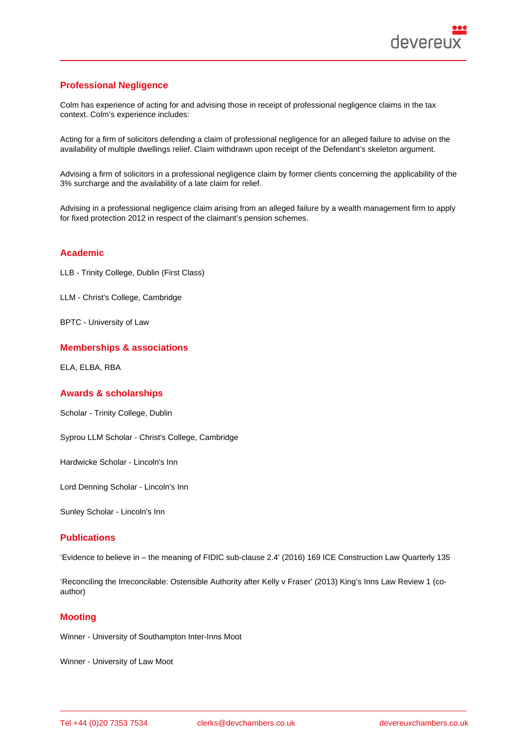# Professional Negligence

Colm has experience of acting for and advising those in receipt of professional negligence claims in the tax context. Colm's experience includes:

Acting for a firm of solicitors defending a claim of professional negligence for an alleged failure to advise on the availability of multiple dwellings relief. Claim withdrawn upon receipt of the Defendant's skeleton argument.

Advising a firm of solicitors in a professional negligence claim by former clients concerning the applicability of the 3% surcharge and the availability of a late claim for relief.

Advising in a professional negligence claim arising from an alleged failure by a wealth management firm to apply for fixed protection 2012 in respect of the claimant's pension schemes.

## Academic

LLB - Trinity College, Dublin (First Class)

LLM - Christ's College, Cambridge

BPTC - University of Law

# Memberships & associations

ELA, ELBA, RBA

## Awards & scholarships

Scholar - Trinity College, Dublin

Syprou LLM Scholar - Christ's College, Cambridge

Hardwicke Scholar - Lincoln's Inn

Lord Denning Scholar - Lincoln's Inn

Sunley Scholar - Lincoln's Inn

# **Publications**

'Evidence to believe in – the meaning of FIDIC sub-clause 2.4' (2016) 169 ICE Construction Law Quarterly 135

'Reconciling the Irreconcilable: Ostensible Authority after Kelly v Fraser' (2013) King's Inns Law Review 1 (coauthor)

## **Mooting**

Winner - University of Southampton Inter-Inns Moot

Winner - University of Law Moot